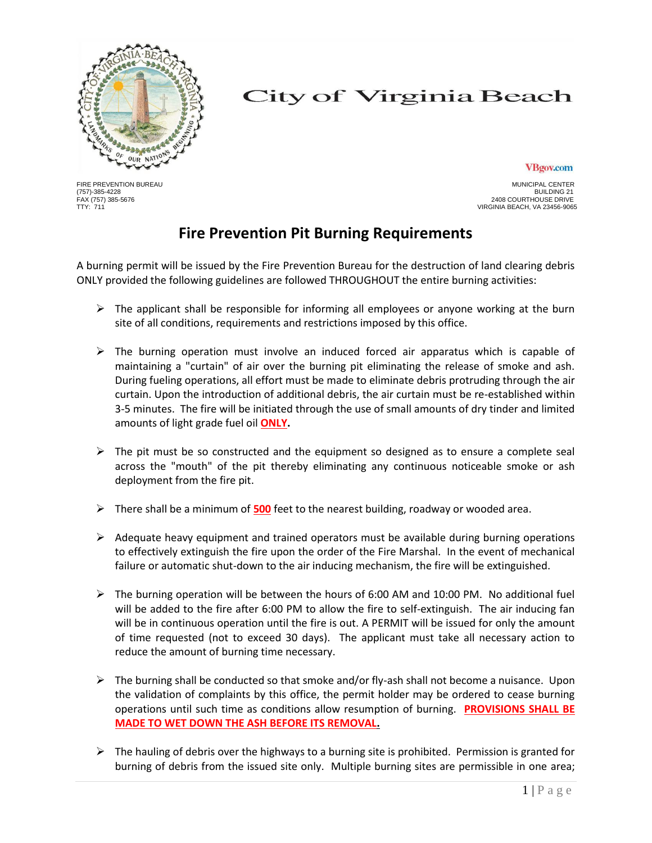

# City of Virginia Beach

**VBgov.com** 

FIRE PREVENTION BUREAU MUNICIPAL CENTER (757)-385-4228 BUILDING 21 FAX (757) 385-5676 2408 COURTHOUSE DRIVE VIRGINIA BEACH, VA 23456-9065

### **Fire Prevention Pit Burning Requirements**

A burning permit will be issued by the Fire Prevention Bureau for the destruction of land clearing debris ONLY provided the following guidelines are followed THROUGHOUT the entire burning activities:

- $\triangleright$  The applicant shall be responsible for informing all employees or anyone working at the burn site of all conditions, requirements and restrictions imposed by this office.
- $\triangleright$  The burning operation must involve an induced forced air apparatus which is capable of maintaining a "curtain" of air over the burning pit eliminating the release of smoke and ash. During fueling operations, all effort must be made to eliminate debris protruding through the air curtain. Upon the introduction of additional debris, the air curtain must be re-established within 3-5 minutes. The fire will be initiated through the use of small amounts of dry tinder and limited amounts of light grade fuel oil **ONLY.**
- $\triangleright$  The pit must be so constructed and the equipment so designed as to ensure a complete seal across the "mouth" of the pit thereby eliminating any continuous noticeable smoke or ash deployment from the fire pit.
- There shall be a minimum of **500** feet to the nearest building, roadway or wooded area.
- $\triangleright$  Adequate heavy equipment and trained operators must be available during burning operations to effectively extinguish the fire upon the order of the Fire Marshal. In the event of mechanical failure or automatic shut-down to the air inducing mechanism, the fire will be extinguished.
- $\triangleright$  The burning operation will be between the hours of 6:00 AM and 10:00 PM. No additional fuel will be added to the fire after 6:00 PM to allow the fire to self-extinguish. The air inducing fan will be in continuous operation until the fire is out. A PERMIT will be issued for only the amount of time requested (not to exceed 30 days). The applicant must take all necessary action to reduce the amount of burning time necessary.
- $\triangleright$  The burning shall be conducted so that smoke and/or fly-ash shall not become a nuisance. Upon the validation of complaints by this office, the permit holder may be ordered to cease burning operations until such time as conditions allow resumption of burning. **PROVISIONS SHALL BE MADE TO WET DOWN THE ASH BEFORE ITS REMOVAL.**
- $\triangleright$  The hauling of debris over the highways to a burning site is prohibited. Permission is granted for burning of debris from the issued site only. Multiple burning sites are permissible in one area;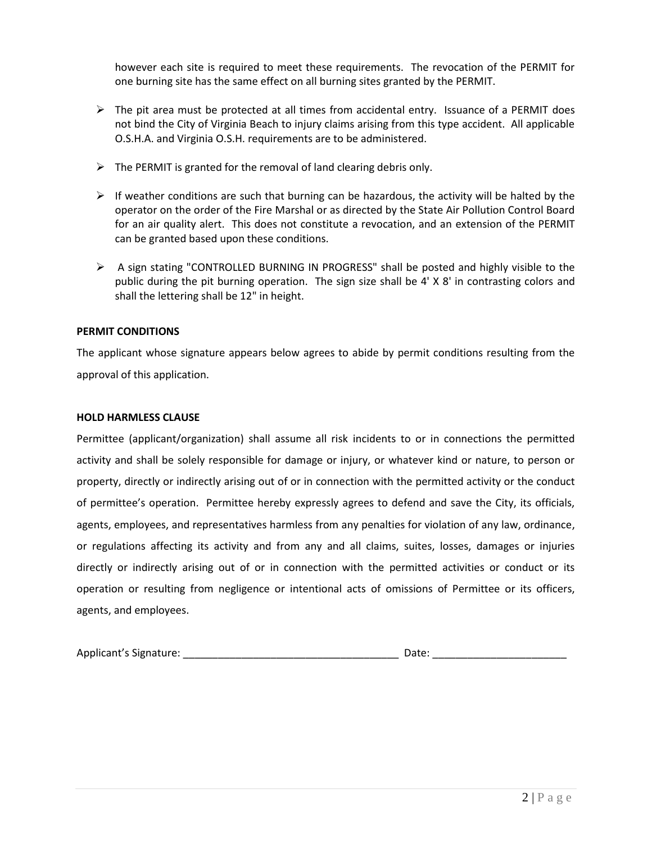however each site is required to meet these requirements. The revocation of the PERMIT for one burning site has the same effect on all burning sites granted by the PERMIT.

- $\triangleright$  The pit area must be protected at all times from accidental entry. Issuance of a PERMIT does not bind the City of Virginia Beach to injury claims arising from this type accident. All applicable O.S.H.A. and Virginia O.S.H. requirements are to be administered.
- $\triangleright$  The PERMIT is granted for the removal of land clearing debris only.
- $\triangleright$  If weather conditions are such that burning can be hazardous, the activity will be halted by the operator on the order of the Fire Marshal or as directed by the State Air Pollution Control Board for an air quality alert. This does not constitute a revocation, and an extension of the PERMIT can be granted based upon these conditions.
- $\triangleright$  A sign stating "CONTROLLED BURNING IN PROGRESS" shall be posted and highly visible to the public during the pit burning operation. The sign size shall be 4' X 8' in contrasting colors and shall the lettering shall be 12" in height.

#### **PERMIT CONDITIONS**

The applicant whose signature appears below agrees to abide by permit conditions resulting from the approval of this application.

#### **HOLD HARMLESS CLAUSE**

Permittee (applicant/organization) shall assume all risk incidents to or in connections the permitted activity and shall be solely responsible for damage or injury, or whatever kind or nature, to person or property, directly or indirectly arising out of or in connection with the permitted activity or the conduct of permittee's operation. Permittee hereby expressly agrees to defend and save the City, its officials, agents, employees, and representatives harmless from any penalties for violation of any law, ordinance, or regulations affecting its activity and from any and all claims, suites, losses, damages or injuries directly or indirectly arising out of or in connection with the permitted activities or conduct or its operation or resulting from negligence or intentional acts of omissions of Permittee or its officers, agents, and employees.

|  | Applicant's Signature: |  |
|--|------------------------|--|
|  |                        |  |

Applicant's Signature: \_\_\_\_\_\_\_\_\_\_\_\_\_\_\_\_\_\_\_\_\_\_\_\_\_\_\_\_\_\_\_\_\_\_\_\_\_ Date: \_\_\_\_\_\_\_\_\_\_\_\_\_\_\_\_\_\_\_\_\_\_\_